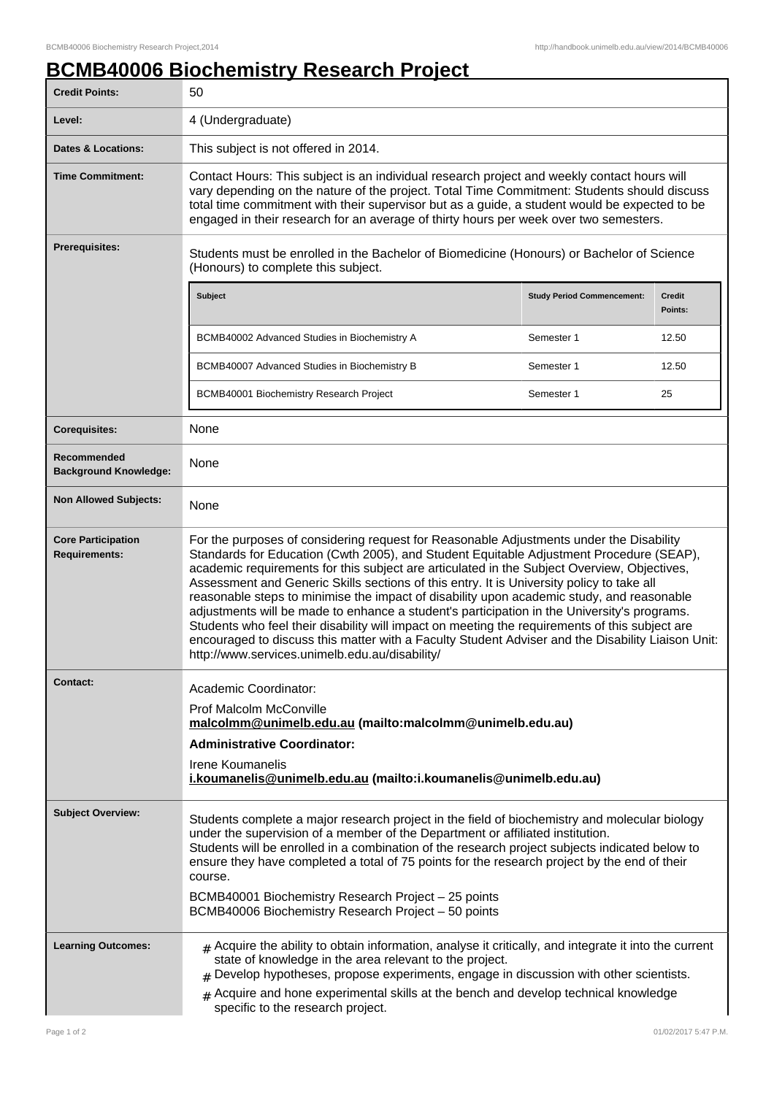## **BCMB40006 Biochemistry Research Project**

| <b>Credit Points:</b>                             | 50                                                                                                                                                                                                                                                                                                                                                                                                                                                                                                                                                                                                                                                                                                                                                                                                                                  |                                   |                   |
|---------------------------------------------------|-------------------------------------------------------------------------------------------------------------------------------------------------------------------------------------------------------------------------------------------------------------------------------------------------------------------------------------------------------------------------------------------------------------------------------------------------------------------------------------------------------------------------------------------------------------------------------------------------------------------------------------------------------------------------------------------------------------------------------------------------------------------------------------------------------------------------------------|-----------------------------------|-------------------|
| Level:                                            | 4 (Undergraduate)                                                                                                                                                                                                                                                                                                                                                                                                                                                                                                                                                                                                                                                                                                                                                                                                                   |                                   |                   |
| <b>Dates &amp; Locations:</b>                     | This subject is not offered in 2014.                                                                                                                                                                                                                                                                                                                                                                                                                                                                                                                                                                                                                                                                                                                                                                                                |                                   |                   |
| <b>Time Commitment:</b>                           | Contact Hours: This subject is an individual research project and weekly contact hours will<br>vary depending on the nature of the project. Total Time Commitment: Students should discuss<br>total time commitment with their supervisor but as a guide, a student would be expected to be<br>engaged in their research for an average of thirty hours per week over two semesters.                                                                                                                                                                                                                                                                                                                                                                                                                                                |                                   |                   |
| <b>Prerequisites:</b>                             | Students must be enrolled in the Bachelor of Biomedicine (Honours) or Bachelor of Science<br>(Honours) to complete this subject.                                                                                                                                                                                                                                                                                                                                                                                                                                                                                                                                                                                                                                                                                                    |                                   |                   |
|                                                   | <b>Subject</b>                                                                                                                                                                                                                                                                                                                                                                                                                                                                                                                                                                                                                                                                                                                                                                                                                      | <b>Study Period Commencement:</b> | Credit<br>Points: |
|                                                   | BCMB40002 Advanced Studies in Biochemistry A                                                                                                                                                                                                                                                                                                                                                                                                                                                                                                                                                                                                                                                                                                                                                                                        | Semester 1                        | 12.50             |
|                                                   | BCMB40007 Advanced Studies in Biochemistry B                                                                                                                                                                                                                                                                                                                                                                                                                                                                                                                                                                                                                                                                                                                                                                                        | Semester 1                        | 12.50             |
|                                                   | BCMB40001 Biochemistry Research Project                                                                                                                                                                                                                                                                                                                                                                                                                                                                                                                                                                                                                                                                                                                                                                                             | Semester 1                        | 25                |
| <b>Corequisites:</b>                              | None                                                                                                                                                                                                                                                                                                                                                                                                                                                                                                                                                                                                                                                                                                                                                                                                                                |                                   |                   |
| Recommended<br><b>Background Knowledge:</b>       | None                                                                                                                                                                                                                                                                                                                                                                                                                                                                                                                                                                                                                                                                                                                                                                                                                                |                                   |                   |
| <b>Non Allowed Subjects:</b>                      | None                                                                                                                                                                                                                                                                                                                                                                                                                                                                                                                                                                                                                                                                                                                                                                                                                                |                                   |                   |
| <b>Core Participation</b><br><b>Requirements:</b> | For the purposes of considering request for Reasonable Adjustments under the Disability<br>Standards for Education (Cwth 2005), and Student Equitable Adjustment Procedure (SEAP),<br>academic requirements for this subject are articulated in the Subject Overview, Objectives,<br>Assessment and Generic Skills sections of this entry. It is University policy to take all<br>reasonable steps to minimise the impact of disability upon academic study, and reasonable<br>adjustments will be made to enhance a student's participation in the University's programs.<br>Students who feel their disability will impact on meeting the requirements of this subject are<br>encouraged to discuss this matter with a Faculty Student Adviser and the Disability Liaison Unit:<br>http://www.services.unimelb.edu.au/disability/ |                                   |                   |
| <b>Contact:</b>                                   | Academic Coordinator:                                                                                                                                                                                                                                                                                                                                                                                                                                                                                                                                                                                                                                                                                                                                                                                                               |                                   |                   |
|                                                   | <b>Prof Malcolm McConville</b><br>malcolmm@unimelb.edu.au (mailto:malcolmm@unimelb.edu.au)                                                                                                                                                                                                                                                                                                                                                                                                                                                                                                                                                                                                                                                                                                                                          |                                   |                   |
|                                                   | <b>Administrative Coordinator:</b>                                                                                                                                                                                                                                                                                                                                                                                                                                                                                                                                                                                                                                                                                                                                                                                                  |                                   |                   |
|                                                   | Irene Koumanelis<br>i.koumanelis@unimelb.edu.au (mailto:i.koumanelis@unimelb.edu.au)                                                                                                                                                                                                                                                                                                                                                                                                                                                                                                                                                                                                                                                                                                                                                |                                   |                   |
| <b>Subject Overview:</b>                          | Students complete a major research project in the field of biochemistry and molecular biology<br>under the supervision of a member of the Department or affiliated institution.<br>Students will be enrolled in a combination of the research project subjects indicated below to<br>ensure they have completed a total of 75 points for the research project by the end of their<br>course.<br>BCMB40001 Biochemistry Research Project - 25 points<br>BCMB40006 Biochemistry Research Project - 50 points                                                                                                                                                                                                                                                                                                                          |                                   |                   |
| <b>Learning Outcomes:</b>                         | $_{\text{\#}}$ Acquire the ability to obtain information, analyse it critically, and integrate it into the current<br>state of knowledge in the area relevant to the project.<br>$#$ Develop hypotheses, propose experiments, engage in discussion with other scientists.<br>$#$ Acquire and hone experimental skills at the bench and develop technical knowledge                                                                                                                                                                                                                                                                                                                                                                                                                                                                  |                                   |                   |
|                                                   | specific to the research project.                                                                                                                                                                                                                                                                                                                                                                                                                                                                                                                                                                                                                                                                                                                                                                                                   |                                   |                   |